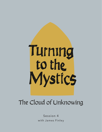

## The Cloud of Unknowing

Session 4 with James Finley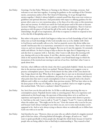- Jim Finley: Greetings, I'm Jim Finley. Welcome to Turning to the Mystics. Greetings, everyone. And welcome to our time here together. A turning for guidance to the teachings of the Christian mystic, anonymous author of the The Cloud of Unknowing. As we go through these mystics together, I think it's always helpful to remind ourself that these texts were written as guidelines and spiritual direction. And particularly with respect to offering guidance for the person who's come to a very mysterious place, or for those of us who come to this mysterious place and our journey. At which our search for God and prayer and in life starts to become mystical. Meaning, it starts to take on a quality of infused contemplation. That it's God not gracing us with the graces of God and the gift of the earth, the gift of life, the gift of our relationships, the gift of our inspirations, all of that in response to which we respond in love to live this life of discipleship and so on.
- Jim Finley: But rather is the point at which God begins to infuse into us God's knowledge of God. And infuse into us God's knowledge of who God eternally owes us to be, hidden with Christ in God forever and eternally calls us to be. And we passively receive this divine influx into ourself. And because this is so mysterious, sometimes it's very intense. There can be visions or voices or, and very intense things can happen. But you see it's just the opposite. It's extremely subtle and delicate. So they're trying to help us discern the signs that it's happening to us, and also how to cooperate with it. And also, what I want to talk about this morning with you, sharing with you in this session. It isn't like a decisive point. Like all of a sudden it clicks in the mystical direction. But there's actually a very broad-based range in which the intonations of the mystical start moving in and out of our lives. And that's what I want to speak about here.
- Jim Finley: And also, what's different with the cloud, why this is particularly helpful, I think, has noticed that in the previous mystics there's no method. Thomas Merton never suggests a way to practice contemplative prayer. Teresa of Avila doesn't do that, John of the Cross doesn't do that. Guigo doesn't do that. What they do is suggest that we start out in devotional sincerity with lectio divina, our reflective meditation, the prayer of our heart, our desire. And then at what point does that start to touch contemplation in how to respond? And so the cloud is different and it offers us a method, unlike these previous mystics. We'll see later when we do the Jesus prayer of the way of a Pilgrim, we also get a method. And so we might in getting this method think, "Oh, here's a method, I think I'll practice it."
- Jim Finley: See, here's how you do this and do this. So I'd like to talk about practicing this way to contemplative prayer. Popularly known today as centering prayer. But as its experience and understood on this broad range, the spectrum of discerning where we're at and how we experience and respond to it. It's an inclusive invitation to anyone who's drawn to practice it. And then at the end, I want to talk in 74 and 75, chapter 74 and 75. I want to talk about where the author says, "This might not be for you." Gives the reasons why it not be for you, and because God's always waiting for you where you are, not to some mystical place you're supposed to be. And so we're always trying to discern where we realistically are to follow how God's one with us in our life.
- Jim Finley: And therefore he says, "However, there are some who are called to kind of a singular mystical path of this love alone, of leaving behind all thoughts, all images, all and so on." And I want to speak specifically to those people also through this whole book, because it's hard for people who are being called to that to find help in understanding it. They wanted to find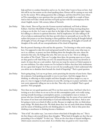help and how to conduct themselves and so on. So, that's what I want to focus on here. And this will be my last session on the cloud speaking alone, Kirsten will be coming on next with me for the session. We're asking questions like a dialogue, and then there'll be more where we'll be responding to your questions that you submit in and might be a couple of those. And so then we'll take a break and then we'll pick up later with the contemporary of the cloud. English, mystic 14th century, Julian of Norwich.

- Jim Finley: Take a break. Then we'll go into the German mystical traditional, we'll look at Meister Eckhart. And then Mechthild of Magdeburg. So we just kind of keep moving along here as long as we do this. So I want to start then in the light of that with chapter eight. Again, he's talking to a directee in spiritual direction. And by implication, he's also talking to all of us to help us understand how this lines up with where we personally are in our life. He realizes this person or we been listening to these guidelines about leaving all thought behind, all thoughts of God, all images of God and cloud of unknowing, all thoughts of ourself, all thoughts of the earth, all our conceptualization of the cloud of forgetting.
- Jim Finley: But the person's listening to this and has this question. "I'm listening to what you're saying here. I'm supposed to take this word and ground myself in that word, come what may, to use it as a defense, to protect me from thinking about the thoughts that arise, about the memories that arise, the feelings that arise. But now you say to me," this is us talking to the author of The Cloud. "How am I to judge these ideas, the pressing upon me as I pray, are they good or evil? And if they are evil, I'm amazed because they arouse my devotion so much. At times they are a real comfort. And even me weep for sorrow at Christ's passion in my own sinfulness. For other reasons too I'm inclined to believe that these holy meditations do me a great deal of good. So if they are not evil, but actually good, I don't understand why you advise me to abandon them beneath the cloud of forgetting?" That's a good question.
- Jim Finley: You're going along. Let's say we go latter, you're practicing the sincerity of your lectio. Open the scriptures, God speaking personally to you in your heart. And this engages then in thinking, in reflecting on these insights and these thoughts and these images as a way to pray, or a way to engage in God's presence in your life, moving on to prayer and desire. And now you're apparently telling me not to do that. Then why is it so helpful? That's a good question. Next paragraph.
- Jim Finley: Now these are very good questions and I'll try my best answer them. And here's what he is inviting us to do is when we set out to live on this contemplative path, we're really trying, moving towards becoming a contemplative person, a contemplative man or woman. A person who has a broad-based experiential self-knowledge, but the nature of our mind and the nature of our heart and relationship to God and relationship with others. And so now he's going to invite us to kind of reflect on this. Because we might say this, we think about many things. We think about this. We think about that, but we rarely think about thinking and the nature of thinking and the role thinking plays in our life. And at what point does thinking or attachment to thinking become a hindrance.
- Jim Finley: "First of all," the author says, "you want to know what kind of thoughts they are." This is the first thing to ask yourself about these thoughts, "What kind of thoughts are they that are pretending to be so helpful?" To this I say, "These are the clear ideas of natural intelligence, which reason conceives in your mind. As to whether they are good or evil, I must insist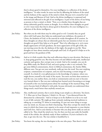they're always good in themselves. For your intelligence is a reflection of the divine intelligence." In other words, he starts out first by affirming the holiness of the mind and the holiness of the capacity of the mind to think. Because we're created by God in the image and likeness of God. And so the divine intelligence is expressed and mirrored and reflected in the gift of our intelligence. Is part of the dowry of our being as persons to have a mind, to think. "Now, as to whether these thoughts that are always inherently good by nature as thought. As to whether these thoughts are good or evil, I must insist that they're always good in themselves, for your intelligence is a reflection of the divine intelligence.

- Jim Finley: But what you do with them may be either good or evil. Certainly they are good when with God's grace they help you understand your sinfulness, the passion of Christ, the kindness of God, or the marvels he works throughout all of creation. So these thoughts are always that are inherently good, but our intention in how we use thoughts are good if they help us to be good." That is by reflecting on it, we're more deeply appreciative of God's goodness, the more appreciative of the gift of life, the sun moving across the sky, the darkness of the night, the people in our life. These thoughts we have about ourselves and people and God, it's all good if it helps us to be good and have the goodness of life.
- Jim Finley: And so it is little wonder then that such reflections deep in your devotion, like keep at it, keep going good for you. But they become evil and inflated with pride, intellectual curiosity and egoism, they corrupt your or mind. And so for example, you can do deep Bible study, the Word of God, and you're going to take it very seriously. You get some biblical commentaries, throw in biblical commentary, the Anchor Bible, different ones. You get out your notebook, really get into the word. You start studying scripture, commentaries on scripture, and you start becoming a certain image of yourself. As a kind of a very gifted person in the knowledge of scripture, where you might devote yourself to the study of the mystic. You move on from these sessions to read the text, you outline them, you look at commentaries and you start to become very learned about it. But you start realizing how learned you're becoming as an image of yourself as this very learned person about the teachings of the mystical thing. And you've become kind of inflated it with pride, because obviously you understand these things much, much better than anybody around you.
- Jim Finley: Also, intellectual curiosity, that is you're doing it just simply as a diversion. You know, T. S. Eliot says in Four Quartets, I think it is. He says, "I was distracted from the distraction by a distraction." And so it keeps us in the shallows in so far as we read it out of idle curiosity. We might go from curiously studying mystical traditions to taking up, to watching TV shows or something. It's just one more thing to occupy your my mind, see, because you find it fascinating. Then they corrupt the mind in the sense in which they lessen your capacity to be aware of and responsive to your destiny and God's love. And to your destiny to become who you deep down really are and are called to be. They cloud the mind over. See, for then you have put aside the humble mind of the scholar, the scholarly study of these traditions. If you're inclined to do that, to get into the text. The true scholar is humbled by it.
- Jim Finley: You know the saying, the two theologian is the one who prays. That there's a kind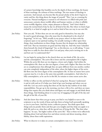of a prayer knowledge that humbles you by the depth of these teachings, the beauty of these teachings, the richness of these teachings. The true master of theology in asceticism. And instead, you become like the proud scholar of the devil. Experts in vanity and lies, this thing about the image of yourself. "This, I say as a warning for everyone. Natural intelligence is turned to evil whenever it is filled with pride and unnecessary curiosity about worldly affairs and human vanities, or when it selfishly covets worldly dignities, riches, empty pleasures or flattery." And I don't think it means the normal kind of day by day we all kind of do this. But where we kind of get tricked by it or kind of caught up in it and we kind of lose our way in our own life.

- Jim Finley: Now you ask, "If then these arts are not only good in themselves, but may also be used to good advantage, then why must they be abandoned in the cloud of forgetting?" So let's say, "Well, actually in my prayer, when I sit there with the scriptures open or my spiritual reading, I'm actually turning to reflect upon these things, these meditations on these things, because they do deepen my relationship with God. That my intentions are good and they help me. And why must I abandon them beneath the cloud of forgetting?" See, so this directee, us, is still asking, "I want help here to really be clear about when I sit and pray, what you're inviting me to do and how am I to understand this?"
- Jim Finley: Let me begin by saying that in the church there are two kinds of life, the active and the contemplative. The active life is lower and the contemplative life is higher. Within the active life there are two degrees, a lower and a higher. And within the contemplative life, there are also two degrees, a lower and a higher. But these two lives are so complimentary that although they are quite different from one another, neither can exist completely independent of the other, where the higher degree of the active life flows into the lower degree of the contemplative life. So that no matter how active a person may be, it is also at the same time partially contemplative. And when he is fully contemplative, as he can be in this life, he remains to some extent active also.
- Jim Finley: I'd like to reflect on this and kind of what he's saying here. Because I understand it and sit with and see if it helps you, kind of get your bearings and where you are with this. Let's say you're saying that there are the day-by-day realities of our daily responsibilities. You get up in the morning, you have a life to live, and there are many things that require that you think about and figure out and engage in and think about those things. And thinking about it is your way of engaging in the gift of the day and the gift of the life, of your life.
- Jim Finley: And also know that when you go to pray, you find it very helpful to turn to the scriptures to say the words of Jesus and take them as being God's personally speaking to you in your heart. And they invite a reflective process. You think upon these things and you ponder them and they give you insights and they help you apply it to daily life and so on, what they call the special way of living the life. "But then what happens," he says, "the higher realms of the active life." That is where we're reflectively thinking about God and about love and about eternity and about meaning, about fidelity, about these noble aspirations.
- Jim Finley: What we discover is it takes on certain contemplative tone to it. That is we're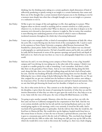thinking, but the thinking starts taking on a certain qualitative depth dimension of kind of reflectively pondering or quietly resting in an insight or a certain luminosity that comes and flows out of the thought that a certain moment kind of pauses you in the thinking to rest for a moment more deeply into what that a thought brought you to as an insight or a presence or a realization to rest in.

- Jim Finley: I'd like to give two images of this and applying it to life, then applying it to prayer. What happens when we devote ourself to anything and we commit ourselves to a daily practice, whatever it is, we devote ourself to that? What we discover, not only does it deepen us in the moments we're devoted to that practice, whatever it might be. But we notice that somehow it starts filtering into underlying patterns of our mind in which it starts to illuminate incidental moments throughout the whole day is becoming habituated.
- Jim Finley: I want to give two examples of this, or kind of contemplative dimensions of daily life, where the active life, it starts flowing into the lower levels of the contemplative life. I used to teach in the summers at Notre Dame University a program called Retreats International. Was founded by a Jesuit priest, Father Tom Gedeon, and father Tom Gedeon was very devoted to photography as a spiritual practice. He had a beautiful camera and he did, you could tell he really did his homework in terms of the aperture openings and speed levels and depth of field and so on. And so he just was there as a way to see, photography helped him to see the world.
- Jim Finley: And once he and I, we were driving across campus at Notre Dame, it was a big, beautiful campus and I was driving, he was taking me to the other side of the campus. I think it was to speak to a smaller group for a talk or something, I can't remember. And there's a little lake there on the grounds at Notre Dame. And as we were slowly driving along this little road, along this lake, there was a little girl walking along and she had a loaf of bread under her arm. And she was breaking off hunks of bread and tossing them over her shoulder. And following her was a whole string of ducks following her like this. He stopped the car. He saw that, stopped the car, got out, reached into the backseat to about the camera, start taking a lot of pictures of her. So when he developed the picture and had it framed and matted, when we saw that little girl throwing the bread over her shoulder, it helped us to see her too.
- Jim Finley: See, this is what artists do for us. They commit us to the discipline. And in committing to the discipline, it gives them the means of expressing the interiority of what they see and the interior dimensions of what they see when we gaze upon the work of art, they help us to see it too. Same with the voice of the poet, the voice of deep life-filled literature, so in film.
- Jim Finley: I'm going to give another example. Maureen, when she first came out here, my wife, she first came out here to California reassigned by her corporation in New York. And she was a very serious alcoholic and she lost her job and she was having blackouts and so on. And started going regular to AA meetings, took it very seriously. It saved her life really. And it was kind of her grounding place in spirituality. And she told me that what she would do, she lived here in Marina del Rey. She would drive up the highway, headed north from here to this retreat house in Encino, or later she was to become a spiritual director, years later. And it goes to a mountain pass and it's this dry rock of California. This, you kind of go through this pass with this dry cliffs on either side. And along one cliff, part way up the cliff on this, which she would drive every week to this retreat she would go to, there was a bush clinging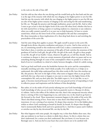to the rock on the side of that cliff.

- Jim Finley: And she told me that when she was driving and she would look up for that bush and she saw it as the sign of the tenacity with which she was clinging to her higher power to save her life. And she saw the tenacity with which she was clinging to the higher power to save her life was an echo of her higher power tenacity of clinging to her and saving her life and transforming her life, see. Through the practice and through meditation, prayer and the life. And so what I want to get at here is that the higher levels of the active life when lived, whether this has to do with married love or being a parent or teaching students in a classroom or any endeavor, when you really commit yourself to it as your way to help humanity. At least to certain sensitivities, which are the lower levels of the contemplative life and that contemplative life, those innuendos or those implications of it, then drop back down in and enriching the practicalities of the active life.
- Jim Finley: And the same thing then applies to prayer. We apply ourself to prayer in the active life, through lectio divina, discursive meditation and prayer, it's active. And in that activity we are, in committing ourself to this rendezvous with God, it takes a commitment to do it. And what it does, it enriches our awareness of the gifts of God, enriches the awareness of the goodness of God for God's gift, the gift of life, the gift of the earth, the gift to these people in our life, the gift of our health. I mean, whatever the gifts are, as well they should. And as it continues to deepen it, there are certain moments of gratitude where we pause and we see something shining through of a taste of the contemplative where we ponder it or where we kind of rest in it wordlessly in a kind of a clarity between thoughts, a kind of a subtle resting.
- Jim Finley: And we go back and forth across the borderline between the active and the contemplative, mutually enriching each other. And I think actually, if we really look at it, it helps us to understand, this really helps understand how this often works in life, how this enriches our life, this practice. But now in the light of this, what starts to happen when as you go back and forth this way, what starts to happen is you start to enter into the higher forms of the contemplative life, and you don't plan this. You didn't expect it. So it's just like, to say it again, it becomes mystical because it's God. It isn't your graced activity of responding to God in reflective prayer and inspiration and the holiness of that discipleship.
- Jim Finley: But rather, it's in the midst of God actively infusing into you God's knowledge of God and God's knowledge of who you are in God. And you passively receive it. Because it's divine, it's infinite. And in this influx of the infinite into this, there's this unexpected sincerity where there's a stirring of this event happening in you, and notice too, in the cloud we go back to the forward to the cloud. These momentary moments happen in the midst of the active life. There's this blind stirring of love. From time to time there's this blind stirring of love. It's innermost, it's not a stirring of an emotion. It's deeper than emotion. It's in this hidden place within us where God's sustaining us breath by breath, by breath. It's deeper than thought. And it momentarily flashes forth and we're quickened by it. And then it passes and it hallows or enriches our day-by-day devotional life, our day-by-day life.
- Jim Finley: But what happens with some people, the singular way, is that these flashes these taste, they take up residents in our heart as a desire to abide there always. So this is a desire that you don't understand, for a union you don't understand. But you know, it's true because you fleetingly taste it. And you feel in your heart that you're drawn not to be satisfied with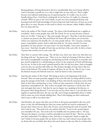fleeting glimpses of being divinized in this love unexplainably. But you're being called by God to surrender yourself over to it, that it might have its way with you. That it might become your habitual underlying way of experiencing this. It is really a way of, you're literally dying of love. Until there's nothing left of you but love. It's really, it's a foretaste of death. When we pass to the veil of death, we pass over into unmediated divinity and knowing God with God's knowledge of God, loving God with God's love of God, not in the glory that is to come. Because on this earth it's always very obscure, subtle, hidden, delicate, but very deep and true.

- Jim Finley: And so the author of The Cloud is saying, "Yes, there is this broad-based way, it applies to everybody." And so some people, they read The Cloud. It's not an issue because it doesn't draw you. It's like, "I don't get it." But some people, they get it. They like it and they practice it. Anyone can practice this. But you'll know the fruits will reveal where you are because of how you experience the benefits of it. So some people will say, "Yes, I practice centering prayer, contemplative prayer. And it really does help me. I'm more centered. I'm more grounded. I'm more present, I'm more aware. I'm more humble. I have more empathy. I have more." And that's the gifts of God, that are the fruit of the active life. So this is a form of prayer that enriches you in your active life.
- Jim Finley: Then there is a person who's saying, "Yes, all that's true, that's true, that's true. But that's not the thing with me," the person says. "There is in me a kind of a burning of this love where I feel God is unexplainably accessing me and drawing me forth, inviting me to surrender and give myself completely in a self-donating act of love in the reciprocity of God's self-donating love for me. So that in the word I ground myself in this, for this love alone. And so thoughts come by, they rise and they fall within me. But all these thoughts of God, they're like love letters of the beloved. The words of scripture, all these, he say. He say, "But it's not. I want the beloved, because the beloved wants me. And I'm drawn to this communion."
- Jim Finley: And then the author of The Cloud. This brings us back to the beginning of the book, forward. There are some presently engaged in the active life who are being called by God to grasp the message of this book. I am thinking of those who feel the mysterious action of the spirit in their heart stirring them to love. I don't say they experience it all the time, the way experience contemplatives do. That is there are people who experience it all the time. But now and again they taste it. And then he says in chapter one, speaking to his directee, to this person who's being directed. "I see now that you live there, that is, I can tell when we're together in spiritual direction, the way you talk, you're being unexplainably drawn to abide. And in some way you're already abiding there. There's this longing you don't understand. And I want to talk to you about that."
- Jim Finley: And therefore, the reason why then you sit there in this prayer grounded in this one word alone, in this, the self-donating love that you cannot and do not need to understand. Is because that's where you are, that's why. It's just, you're honoring the truth of yourself. And this is why he says, "You need to be very patient with this." It says in the second chapter, you remember? He says, "You need to be very humble and very patient with it." He says, "Because the thing is, you know you'll be miserable if you don't do this." This love act that you don't understand. I'm talking to that. And why is it important I think to single this out? I think it's because people who are drawn to this way, and it doesn't mean people who are drawn this way are holier than those who aren't drawn to this way. But it's a chrism that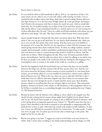they're drawn to this way.

- Jim Finley: It's very hard for them to find somebody to talk to. And so, my experience of this is, for some reason, for me, when I was 14 years old, earlier, really starting very little, I was so touched by this wordless union, this thing. And when I started reading Thomas Merton's The Sign of Jonas at 14 to the four years of high school, all, it just got deeper and deeper. And I lived in the monastery with him in silence for nearly six years. And we would talk about this. See, he would introduce me to John of the Cross and these mystics, we would talk and the silence, I just surrendered myself to it. And he said to me, we were having one of these talks about this. He said, "Once in a while you'll find somebody with whom you can talk about such things." He said, "But they're hard to find, because there's many people."
- Jim Finley: Sincere people living the Christian life who don't even know about this. Well, they know about it, but you can put it off until later. It's very hard to find somebody who, when you say it, you can tell, they know what you're saying. And they invite you to be faithful to the primacy of it in your life. And for me, my experience is when I left the monastery and started giving retreats these silent weekend retreats. So these are college students, married couples, divorced people, mothers and fathers, professional people living in the world. And they were drawn to come to a retreat because they heard it would be in silence. And the meals were in silence. Silent throughout the day. There were 20 minute periods of silent prayer and meditation. And the talks were about this, is what I'm talking to you about now. So these are people in the midst of the world who find this stirring for this longing to be a contemplative man or woman in the midst of the world as a vocation or a calling.
- Jim Finley: And for the singularity, both the broad-based way, you know that fans out very broadly. However this helps you, all these sessions with all these mystics that's true. And the very fact you're moved by the beauty of these sessions or you're touched by it, your heart bears witness, you are being called to it or you wouldn't be moved by it. And so you're called to kind of discern your way. What is the way, where are you at with this? And this is why I think that if you are called to this more singular way, this is where we can treasure these mystics. Because even though the mystic is maybe dead for many years, their deathless presence shines in everything that they say, and goes right to your heart. This trustworthy guidance, because you know, you're subject to self-deception, to discouragement and so on. So I'd like to conclude then as a concluding thought recess after speaking this way. Chapter 74, The Pastoral Sensitivity.
- Jim Finley: Because he knows who the directee is he's talking to, who's called to the singular way. But clearly he's also writing this for anyone whom might find it helpful, but he doesn't know who we are. He doesn't know people are coming at this at different frames of reference. And so he's laying down an important pastoral note, chapter 74. "Should it seem that the way a prayer I have described in this book is unsuited to you spiritually or temperamentally, feel perfectly free to leave it aside. And with wise console seek another in full confidence. In that case, I trust you will hold me excused for all that I've written here." In other words, "I realize now we're on page 143, I've taken up a lot of your time to kind of get to the point. This might not be for you after all."
- Jim Finley: But he even going to say later, "I suggest you read it several times to be sure because it's subtle. Truly, I wrote only according to my simple understanding of these things, yet with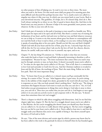no other purpose of that of helping you. So read it over two or three times. The more often you read it, the better. For that much more shall you grasp of its meaning parts that seem difficult and obscured first perhaps become clear." So it, maybe you're not called in a singular way where it's like your way. In which case you return back to your Lectio. Back to your devotional sincerity. This guideline, if it helps, do it. If it doesn't help, don't do it. But God's always waiting for us where we are. But it's good to know about this. And then in the broad sense you may practice it. Because it helps to be more grounded, more present, more whatever. So like to your own self, be true.

- Jim Finley: And I think part of maturity in this path is learning to trust ourself in a humble way. We're always open for input and to be open and all of that. But there's a certain way of trusting the inclinations of our heart ,and by trial and error we find our way and find whatever resources we can to help us. It seems to me that anyone whom grace has drawn to contemplation will not read this book or hear it read to them, as I'm reading it to you now, without feeling that it speaks of something akin to his own spirit. Should you feel this way and find it helpful? Thank God with all your heart and for love of him, pray for me. I sincerely hope that you will do this, for I'm very serious when I ask you for the love of God. See, discern, discern, discern, be careful, walk your walk, be true to yourself, stay open, and so on.
- Jim Finley: Chapter 75, the last thing I'll comment on. "I'd like to make it clear that not everyone who reads this book or hears it read and finds it pleasantly interesting is therefore a call to contemplation." Because he says, "The inner excitement that comes when you read it may just be through curiosity or may, no harm done. It doesn't necessarily mean you're called to it." So what are the signs that you're called to it? He says, "First of all, there is a commitment to love God and surrender to God's love for you. And the Christian tradition is revealed in Jesus and the life of Jesus, the teachings of Jesus. That's the main thing. Follow me in this love path. That's the most important thing."
- Jim Finley: Next, "To know that if you are called to it, it doesn't mean you'll go continually feel the stirring. As a matter of fact," he says, "what happens often, it goes away. As you're sitting there in the subtlety of this simple love desire, grounded in the word with all your heart. And it evaporates on you. Like you look around, there's nothing there." And he says, "The thing is sometimes this happens because God wants to teach you that you can't do it." See, it's God. And unless you get presumptuous in things that you're doing it, God takes it away to show you, you can't do it. Then once you realize that you just can't do it, God begins to once again achieve it in you and you actively receive it and cooperate with it. He also says, "It doesn't mean that sometimes there isn't real struggle."
- Jim Finley: There's a chapter in which he talks about struggling with distractions. And, let me find that chapter right here, chapter 32. But the fact it's a struggle doesn't mean you're not called to it. But likewise, the fact you're struggling also doesn't mean you should stay there because you are called to it. So you have to really discern what's going on. The fact you're struggling, but you can feel in your heart you're called to do it. You're called to lean into it, and that the struggle undo your illusions that you're even capable of doing it. You throw yourself upon the mercy of God and so forth.
- Jim Finley: He says, "One of the most obvious and certain signs by which a person may know that he has been called to this work is the gratitude he detects in himself when he has founded again,